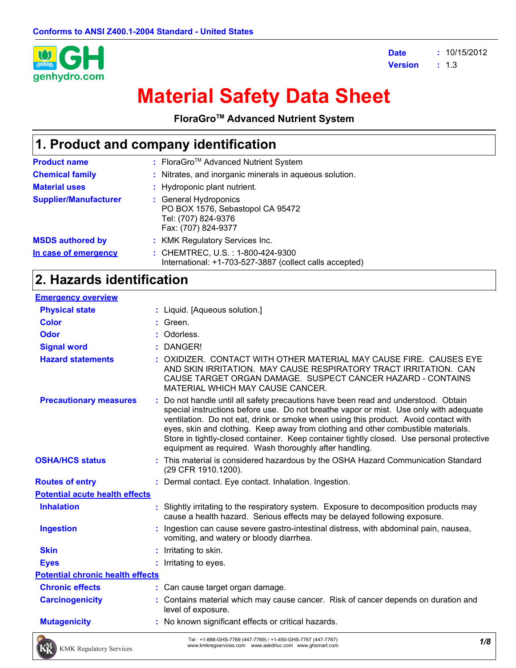

**Date :** 10/15/2012 **Version :**  $: 1.3$ 

# **Material Safety Data Sheet**

**FloraGroTM Advanced Nutrient System**

# **1. Product and company identification**

| <b>Product name</b>          | : FloraGro <sup>™</sup> Advanced Nutrient System                                                        |
|------------------------------|---------------------------------------------------------------------------------------------------------|
| <b>Chemical family</b>       | : Nitrates, and inorganic minerals in aqueous solution.                                                 |
| <b>Material uses</b>         | : Hydroponic plant nutrient.                                                                            |
| <b>Supplier/Manufacturer</b> | : General Hydroponics<br>PO BOX 1576, Sebastopol CA 95472<br>Tel: (707) 824-9376<br>Fax: (707) 824-9377 |
| <b>MSDS authored by</b>      | : KMK Regulatory Services Inc.                                                                          |
| In case of emergency         | : CHEMTREC, U.S.: 1-800-424-9300<br>International: +1-703-527-3887 (collect calls accepted)             |

### **2. Hazards identification**

| <b>Emergency overview</b>               |   |                                                                                                                                                                                                                                                                                                                                                                                                                                                                                                              |
|-----------------------------------------|---|--------------------------------------------------------------------------------------------------------------------------------------------------------------------------------------------------------------------------------------------------------------------------------------------------------------------------------------------------------------------------------------------------------------------------------------------------------------------------------------------------------------|
| <b>Physical state</b>                   |   | : Liquid. [Aqueous solution.]                                                                                                                                                                                                                                                                                                                                                                                                                                                                                |
| <b>Color</b>                            |   | Green.                                                                                                                                                                                                                                                                                                                                                                                                                                                                                                       |
| <b>Odor</b>                             |   | Odorless.                                                                                                                                                                                                                                                                                                                                                                                                                                                                                                    |
| <b>Signal word</b>                      |   | DANGER!                                                                                                                                                                                                                                                                                                                                                                                                                                                                                                      |
| <b>Hazard statements</b>                |   | OXIDIZER. CONTACT WITH OTHER MATERIAL MAY CAUSE FIRE. CAUSES EYE<br>AND SKIN IRRITATION. MAY CAUSE RESPIRATORY TRACT IRRITATION. CAN<br>CAUSE TARGET ORGAN DAMAGE. SUSPECT CANCER HAZARD - CONTAINS<br>MATERIAL WHICH MAY CAUSE CANCER.                                                                                                                                                                                                                                                                      |
| <b>Precautionary measures</b>           |   | Do not handle until all safety precautions have been read and understood. Obtain<br>special instructions before use. Do not breathe vapor or mist. Use only with adequate<br>ventilation. Do not eat, drink or smoke when using this product. Avoid contact with<br>eyes, skin and clothing. Keep away from clothing and other combustible materials.<br>Store in tightly-closed container. Keep container tightly closed. Use personal protective<br>equipment as required. Wash thoroughly after handling. |
| <b>OSHA/HCS status</b>                  |   | : This material is considered hazardous by the OSHA Hazard Communication Standard<br>(29 CFR 1910.1200).                                                                                                                                                                                                                                                                                                                                                                                                     |
| <b>Routes of entry</b>                  |   | : Dermal contact. Eye contact. Inhalation. Ingestion.                                                                                                                                                                                                                                                                                                                                                                                                                                                        |
| <b>Potential acute health effects</b>   |   |                                                                                                                                                                                                                                                                                                                                                                                                                                                                                                              |
| <b>Inhalation</b>                       | ÷ | Slightly irritating to the respiratory system. Exposure to decomposition products may<br>cause a health hazard. Serious effects may be delayed following exposure.                                                                                                                                                                                                                                                                                                                                           |
| <b>Ingestion</b>                        |   | Ingestion can cause severe gastro-intestinal distress, with abdominal pain, nausea,<br>vomiting, and watery or bloody diarrhea.                                                                                                                                                                                                                                                                                                                                                                              |
| <b>Skin</b>                             |   | Irritating to skin.                                                                                                                                                                                                                                                                                                                                                                                                                                                                                          |
| <b>Eyes</b>                             |   | Irritating to eyes.                                                                                                                                                                                                                                                                                                                                                                                                                                                                                          |
| <b>Potential chronic health effects</b> |   |                                                                                                                                                                                                                                                                                                                                                                                                                                                                                                              |
| <b>Chronic effects</b>                  |   | : Can cause target organ damage.                                                                                                                                                                                                                                                                                                                                                                                                                                                                             |
| <b>Carcinogenicity</b>                  |   | : Contains material which may cause cancer. Risk of cancer depends on duration and<br>level of exposure.                                                                                                                                                                                                                                                                                                                                                                                                     |
| <b>Mutagenicity</b>                     |   | : No known significant effects or critical hazards.                                                                                                                                                                                                                                                                                                                                                                                                                                                          |
| <b>CONTRACTOR</b>                       |   | Tel. (4,000 CUC 7700 (447 7700) (14,450 CUC 7707 (447 7707)                                                                                                                                                                                                                                                                                                                                                                                                                                                  |

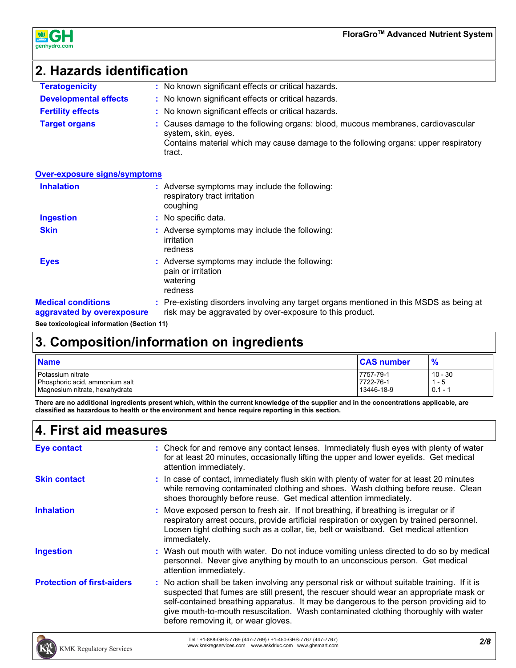

# **2. Hazards identification**

| <b>Teratogenicity</b>        | : No known significant effects or critical hazards.                                                                                                                                                      |
|------------------------------|----------------------------------------------------------------------------------------------------------------------------------------------------------------------------------------------------------|
| <b>Developmental effects</b> | : No known significant effects or critical hazards.                                                                                                                                                      |
| <b>Fertility effects</b>     | : No known significant effects or critical hazards.                                                                                                                                                      |
| <b>Target organs</b>         | : Causes damage to the following organs: blood, mucous membranes, cardiovascular<br>system, skin, eyes.<br>Contains material which may cause damage to the following organs: upper respiratory<br>tract. |

#### **Over-exposure signs/symptoms**

| <b>Inhalation</b>                                       | : Adverse symptoms may include the following:<br>respiratory tract irritation<br>coughing                                                           |
|---------------------------------------------------------|-----------------------------------------------------------------------------------------------------------------------------------------------------|
| <b>Ingestion</b>                                        | : No specific data.                                                                                                                                 |
| <b>Skin</b>                                             | : Adverse symptoms may include the following:<br>irritation<br>redness                                                                              |
| <b>Eyes</b>                                             | : Adverse symptoms may include the following:<br>pain or irritation<br>watering<br>redness                                                          |
| <b>Medical conditions</b><br>aggravated by overexposure | : Pre-existing disorders involving any target organs mentioned in this MSDS as being at<br>risk may be aggravated by over-exposure to this product. |
|                                                         |                                                                                                                                                     |

**See toxicological information (Section 11)**

# **3. Composition/information on ingredients**

| <b>Name</b>                    | <b>CAS number</b> | $\frac{9}{6}$ |
|--------------------------------|-------------------|---------------|
| Potassium nitrate              | 7757-79-1         | 10 - 30       |
| Phosphoric acid, ammonium salt | 7722-76-1         | - 5           |
| Magnesium nitrate, hexahydrate | 13446-18-9        | $0.1 -$       |

**There are no additional ingredients present which, within the current knowledge of the supplier and in the concentrations applicable, are classified as hazardous to health or the environment and hence require reporting in this section.**

## **4. First aid measures**

| <b>Eye contact</b>                | : Check for and remove any contact lenses. Immediately flush eyes with plenty of water<br>for at least 20 minutes, occasionally lifting the upper and lower eyelids. Get medical<br>attention immediately.                                                                                                                                                                                                      |
|-----------------------------------|-----------------------------------------------------------------------------------------------------------------------------------------------------------------------------------------------------------------------------------------------------------------------------------------------------------------------------------------------------------------------------------------------------------------|
| <b>Skin contact</b>               | : In case of contact, immediately flush skin with plenty of water for at least 20 minutes<br>while removing contaminated clothing and shoes. Wash clothing before reuse. Clean<br>shoes thoroughly before reuse. Get medical attention immediately.                                                                                                                                                             |
| <b>Inhalation</b>                 | : Move exposed person to fresh air. If not breathing, if breathing is irregular or if<br>respiratory arrest occurs, provide artificial respiration or oxygen by trained personnel.<br>Loosen tight clothing such as a collar, tie, belt or waistband. Get medical attention<br>immediately.                                                                                                                     |
| <b>Ingestion</b>                  | : Wash out mouth with water. Do not induce vomiting unless directed to do so by medical<br>personnel. Never give anything by mouth to an unconscious person. Get medical<br>attention immediately.                                                                                                                                                                                                              |
| <b>Protection of first-aiders</b> | : No action shall be taken involving any personal risk or without suitable training. If it is<br>suspected that fumes are still present, the rescuer should wear an appropriate mask or<br>self-contained breathing apparatus. It may be dangerous to the person providing aid to<br>give mouth-to-mouth resuscitation. Wash contaminated clothing thoroughly with water<br>before removing it, or wear gloves. |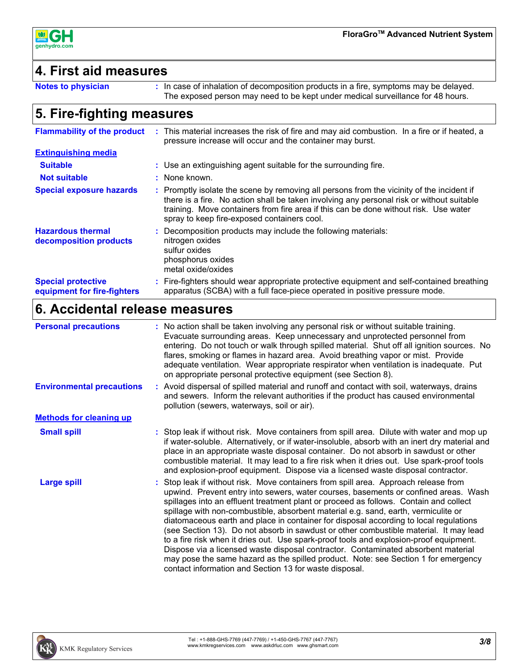

### **4. First aid measures**

```
Notes to physician :
```
: In case of inhalation of decomposition products in a fire, symptoms may be delayed. The exposed person may need to be kept under medical surveillance for 48 hours.

## **5. Fire-fighting measures**

| <b>Flammability of the product</b>                       | : This material increases the risk of fire and may aid combustion. In a fire or if heated, a<br>pressure increase will occur and the container may burst.                                                                                                                                                                     |
|----------------------------------------------------------|-------------------------------------------------------------------------------------------------------------------------------------------------------------------------------------------------------------------------------------------------------------------------------------------------------------------------------|
| <b>Extinguishing media</b>                               |                                                                                                                                                                                                                                                                                                                               |
| <b>Suitable</b>                                          | : Use an extinguishing agent suitable for the surrounding fire.                                                                                                                                                                                                                                                               |
| <b>Not suitable</b>                                      | : None known.                                                                                                                                                                                                                                                                                                                 |
| <b>Special exposure hazards</b>                          | : Promptly isolate the scene by removing all persons from the vicinity of the incident if<br>there is a fire. No action shall be taken involving any personal risk or without suitable<br>training. Move containers from fire area if this can be done without risk. Use water<br>spray to keep fire-exposed containers cool. |
| <b>Hazardous thermal</b><br>decomposition products       | : Decomposition products may include the following materials:<br>nitrogen oxides<br>sulfur oxides<br>phosphorus oxides<br>metal oxide/oxides                                                                                                                                                                                  |
| <b>Special protective</b><br>equipment for fire-fighters | : Fire-fighters should wear appropriate protective equipment and self-contained breathing<br>apparatus (SCBA) with a full face-piece operated in positive pressure mode.                                                                                                                                                      |

# **6. Accidental release measures**

| <b>Personal precautions</b>      | : No action shall be taken involving any personal risk or without suitable training.<br>Evacuate surrounding areas. Keep unnecessary and unprotected personnel from<br>entering. Do not touch or walk through spilled material. Shut off all ignition sources. No<br>flares, smoking or flames in hazard area. Avoid breathing vapor or mist. Provide<br>adequate ventilation. Wear appropriate respirator when ventilation is inadequate. Put<br>on appropriate personal protective equipment (see Section 8).                                                                                                                                                                                                                                                                                                                                                            |
|----------------------------------|----------------------------------------------------------------------------------------------------------------------------------------------------------------------------------------------------------------------------------------------------------------------------------------------------------------------------------------------------------------------------------------------------------------------------------------------------------------------------------------------------------------------------------------------------------------------------------------------------------------------------------------------------------------------------------------------------------------------------------------------------------------------------------------------------------------------------------------------------------------------------|
| <b>Environmental precautions</b> | : Avoid dispersal of spilled material and runoff and contact with soil, waterways, drains<br>and sewers. Inform the relevant authorities if the product has caused environmental<br>pollution (sewers, waterways, soil or air).                                                                                                                                                                                                                                                                                                                                                                                                                                                                                                                                                                                                                                            |
| <b>Methods for cleaning up</b>   |                                                                                                                                                                                                                                                                                                                                                                                                                                                                                                                                                                                                                                                                                                                                                                                                                                                                            |
| <b>Small spill</b>               | : Stop leak if without risk. Move containers from spill area. Dilute with water and mop up<br>if water-soluble. Alternatively, or if water-insoluble, absorb with an inert dry material and<br>place in an appropriate waste disposal container. Do not absorb in sawdust or other<br>combustible material. It may lead to a fire risk when it dries out. Use spark-proof tools<br>and explosion-proof equipment. Dispose via a licensed waste disposal contractor.                                                                                                                                                                                                                                                                                                                                                                                                        |
| <b>Large spill</b>               | : Stop leak if without risk. Move containers from spill area. Approach release from<br>upwind. Prevent entry into sewers, water courses, basements or confined areas. Wash<br>spillages into an effluent treatment plant or proceed as follows. Contain and collect<br>spillage with non-combustible, absorbent material e.g. sand, earth, vermiculite or<br>diatomaceous earth and place in container for disposal according to local regulations<br>(see Section 13). Do not absorb in sawdust or other combustible material. It may lead<br>to a fire risk when it dries out. Use spark-proof tools and explosion-proof equipment.<br>Dispose via a licensed waste disposal contractor. Contaminated absorbent material<br>may pose the same hazard as the spilled product. Note: see Section 1 for emergency<br>contact information and Section 13 for waste disposal. |

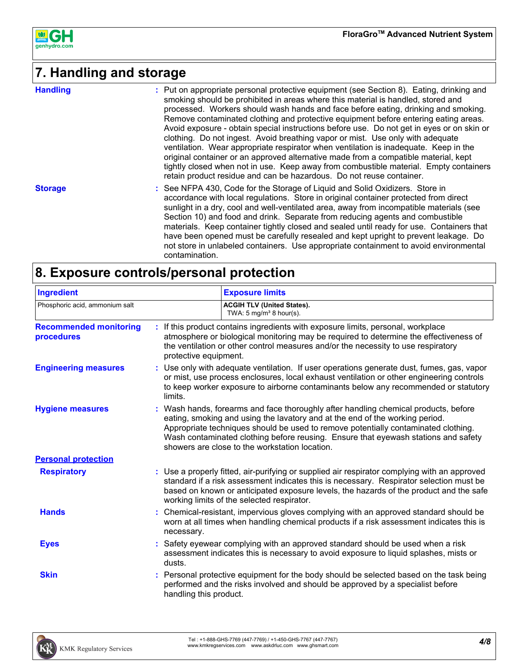

# **7. Handling and storage**

| <b>Handling</b> | : Put on appropriate personal protective equipment (see Section 8). Eating, drinking and<br>smoking should be prohibited in areas where this material is handled, stored and<br>processed. Workers should wash hands and face before eating, drinking and smoking.<br>Remove contaminated clothing and protective equipment before entering eating areas.<br>Avoid exposure - obtain special instructions before use. Do not get in eyes or on skin or<br>clothing. Do not ingest. Avoid breathing vapor or mist. Use only with adequate<br>ventilation. Wear appropriate respirator when ventilation is inadequate. Keep in the<br>original container or an approved alternative made from a compatible material, kept<br>tightly closed when not in use. Keep away from combustible material. Empty containers<br>retain product residue and can be hazardous. Do not reuse container. |
|-----------------|------------------------------------------------------------------------------------------------------------------------------------------------------------------------------------------------------------------------------------------------------------------------------------------------------------------------------------------------------------------------------------------------------------------------------------------------------------------------------------------------------------------------------------------------------------------------------------------------------------------------------------------------------------------------------------------------------------------------------------------------------------------------------------------------------------------------------------------------------------------------------------------|
| <b>Storage</b>  | : See NFPA 430, Code for the Storage of Liquid and Solid Oxidizers. Store in<br>accordance with local regulations. Store in original container protected from direct<br>sunlight in a dry, cool and well-ventilated area, away from incompatible materials (see<br>Section 10) and food and drink. Separate from reducing agents and combustible<br>materials. Keep container tightly closed and sealed until ready for use. Containers that<br>have been opened must be carefully resealed and kept upright to prevent leakage. Do<br>not store in unlabeled containers. Use appropriate containment to avoid environmental<br>contamination.                                                                                                                                                                                                                                           |

# **8. Exposure controls/personal protection**

| <b>Ingredient</b>                           |                        | <b>Exposure limits</b>                                                                                                                                                                                                                                                                                                                                                                            |
|---------------------------------------------|------------------------|---------------------------------------------------------------------------------------------------------------------------------------------------------------------------------------------------------------------------------------------------------------------------------------------------------------------------------------------------------------------------------------------------|
| Phosphoric acid, ammonium salt              |                        | <b>ACGIH TLV (United States).</b><br>TWA: $5 \text{ mg/m}^3$ 8 hour(s).                                                                                                                                                                                                                                                                                                                           |
| <b>Recommended monitoring</b><br>procedures | protective equipment.  | : If this product contains ingredients with exposure limits, personal, workplace<br>atmosphere or biological monitoring may be required to determine the effectiveness of<br>the ventilation or other control measures and/or the necessity to use respiratory                                                                                                                                    |
| <b>Engineering measures</b>                 | limits.                | : Use only with adequate ventilation. If user operations generate dust, fumes, gas, vapor<br>or mist, use process enclosures, local exhaust ventilation or other engineering controls<br>to keep worker exposure to airborne contaminants below any recommended or statutory                                                                                                                      |
| <b>Hygiene measures</b>                     |                        | : Wash hands, forearms and face thoroughly after handling chemical products, before<br>eating, smoking and using the lavatory and at the end of the working period.<br>Appropriate techniques should be used to remove potentially contaminated clothing.<br>Wash contaminated clothing before reusing. Ensure that eyewash stations and safety<br>showers are close to the workstation location. |
| <b>Personal protection</b>                  |                        |                                                                                                                                                                                                                                                                                                                                                                                                   |
| <b>Respiratory</b>                          |                        | : Use a properly fitted, air-purifying or supplied air respirator complying with an approved<br>standard if a risk assessment indicates this is necessary. Respirator selection must be<br>based on known or anticipated exposure levels, the hazards of the product and the safe<br>working limits of the selected respirator.                                                                   |
| <b>Hands</b>                                | necessary.             | : Chemical-resistant, impervious gloves complying with an approved standard should be<br>worn at all times when handling chemical products if a risk assessment indicates this is                                                                                                                                                                                                                 |
| <b>Eyes</b>                                 | dusts.                 | Safety eyewear complying with an approved standard should be used when a risk<br>assessment indicates this is necessary to avoid exposure to liquid splashes, mists or                                                                                                                                                                                                                            |
| <b>Skin</b>                                 | handling this product. | Personal protective equipment for the body should be selected based on the task being<br>performed and the risks involved and should be approved by a specialist before                                                                                                                                                                                                                           |

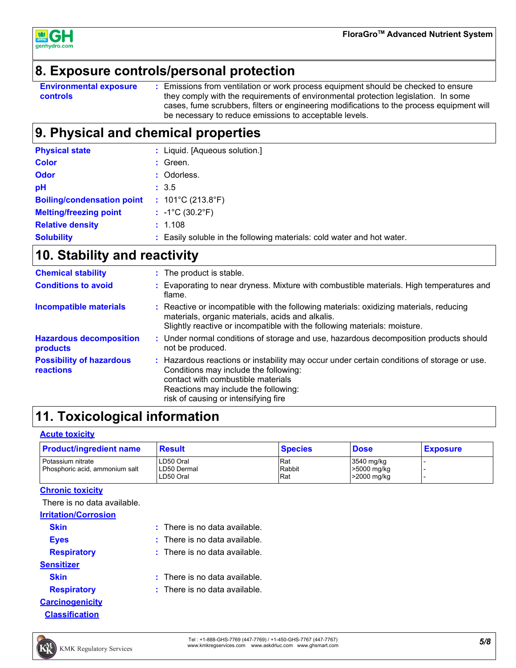

### **8. Exposure controls/personal protection**

**Environmental exposure controls :** Emissions from ventilation or work process equipment should be checked to ensure they comply with the requirements of environmental protection legislation. In some cases, fume scrubbers, filters or engineering modifications to the process equipment will be necessary to reduce emissions to acceptable levels.

# **9. Physical and chemical properties**

| <b>Physical state</b>             | Liquid. [Aqueous solution.]                                          |
|-----------------------------------|----------------------------------------------------------------------|
| <b>Color</b>                      | : Green.                                                             |
| <b>Odor</b>                       | : Odorless.                                                          |
| pH                                | : 3.5                                                                |
| <b>Boiling/condensation point</b> | : $101^{\circ}$ C (213.8 $^{\circ}$ F)                               |
| <b>Melting/freezing point</b>     | $: -1^{\circ}C(30.2^{\circ}F)$                                       |
| <b>Relative density</b>           | : 1.108                                                              |
| <b>Solubility</b>                 | Easily soluble in the following materials: cold water and hot water. |

# **10. Stability and reactivity**

| <b>Chemical stability</b>                           | : The product is stable.                                                                                                                                                                                                                                  |  |
|-----------------------------------------------------|-----------------------------------------------------------------------------------------------------------------------------------------------------------------------------------------------------------------------------------------------------------|--|
| <b>Conditions to avoid</b>                          | : Evaporating to near dryness. Mixture with combustible materials. High temperatures and<br>flame.                                                                                                                                                        |  |
| <b>Incompatible materials</b>                       | : Reactive or incompatible with the following materials: oxidizing materials, reducing<br>materials, organic materials, acids and alkalis.<br>Slightly reactive or incompatible with the following materials: moisture.                                   |  |
| <b>Hazardous decomposition</b><br>products          | : Under normal conditions of storage and use, hazardous decomposition products should<br>not be produced.                                                                                                                                                 |  |
| <b>Possibility of hazardous</b><br><b>reactions</b> | : Hazardous reactions or instability may occur under certain conditions of storage or use.<br>Conditions may include the following:<br>contact with combustible materials<br>Reactions may include the following:<br>risk of causing or intensifying fire |  |

# **11. Toxicological information**

#### **Acute toxicity**

| <b>Product/ingredient name</b> | Result      | <b>Species</b> | <b>Dose</b> | <b>Exposure</b> |
|--------------------------------|-------------|----------------|-------------|-----------------|
| Potassium nitrate              | LD50 Oral   | Rat            | 3540 mg/kg  |                 |
| Phosphoric acid, ammonium salt | LD50 Dermal | Rabbit         | >5000 mg/kg |                 |
|                                | LD50 Oral   | <b>Rat</b>     | >2000 mg/kg |                 |

#### **Chronic toxicity**

There is no data available.

| <b>Irritation/Corrosion</b> |                                 |
|-----------------------------|---------------------------------|
| <b>Skin</b>                 | $:$ There is no data available. |
| <b>Eves</b>                 | $:$ There is no data available. |
| <b>Respiratory</b>          | $:$ There is no data available. |
| <b>Sensitizer</b>           |                                 |
| <b>Skin</b>                 | $:$ There is no data available. |
| <b>Respiratory</b>          | $:$ There is no data available. |
| <b>Carcinogenicity</b>      |                                 |
| <b>Classification</b>       |                                 |

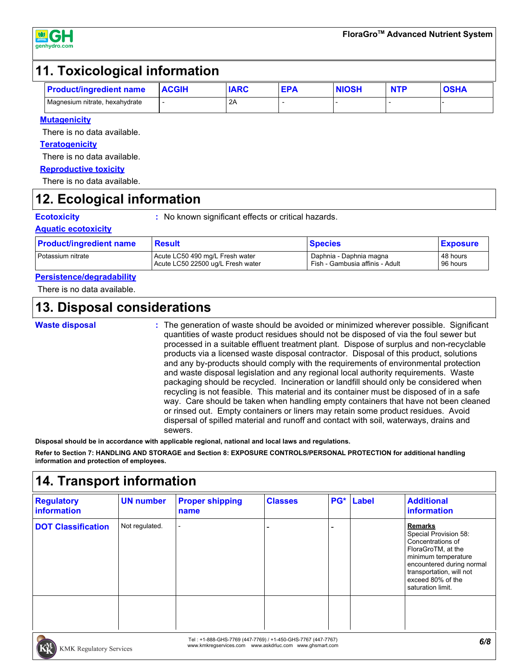

### **11. Toxicological information**

| <b>Proc</b><br>duct/ingredient name | <b>ACGIH</b> | <b>IARC</b> | ED/<br>- − | <b>NIOSH</b> | <b>NTD</b><br>N I L | <b>OCUM</b><br>$\sim$ - $\sim$ |
|-------------------------------------|--------------|-------------|------------|--------------|---------------------|--------------------------------|
| Magnesium nitrate, hexahydrate      |              | 2A          |            |              |                     |                                |

#### **Mutagenicity**

There is no data available.

#### **Teratogenicity**

There is no data available.

#### **Reproductive toxicity**

There is no data available.

### **12. Ecological information**

**Ecotoxicity :** No known significant effects or critical hazards.

#### **Aquatic ecotoxicity**

| <b>Product/ingredient name</b> | <b>Result</b>                     | <b>Species</b>                  | <b>Exposure</b> |
|--------------------------------|-----------------------------------|---------------------------------|-----------------|
| l Potassium nitrate            | Acute LC50 490 mg/L Fresh water   | Daphnia - Daphnia magna         | 48 hours        |
|                                | Acute LC50 22500 ug/L Fresh water | Fish - Gambusia affinis - Adult | 96 hours        |

#### **Persistence/degradability**

There is no data available.

### **13. Disposal considerations**

**Waste disposal**

The generation of waste should be avoided or minimized wherever possible. Significant **:** quantities of waste product residues should not be disposed of via the foul sewer but processed in a suitable effluent treatment plant. Dispose of surplus and non-recyclable products via a licensed waste disposal contractor. Disposal of this product, solutions and any by-products should comply with the requirements of environmental protection and waste disposal legislation and any regional local authority requirements. Waste packaging should be recycled. Incineration or landfill should only be considered when recycling is not feasible. This material and its container must be disposed of in a safe way. Care should be taken when handling empty containers that have not been cleaned or rinsed out. Empty containers or liners may retain some product residues. Avoid dispersal of spilled material and runoff and contact with soil, waterways, drains and sewers.

**Disposal should be in accordance with applicable regional, national and local laws and regulations.**

**Refer to Section 7: HANDLING AND STORAGE and Section 8: EXPOSURE CONTROLS/PERSONAL PROTECTION for additional handling information and protection of employees.**

## **14. Transport information**

| <b>Regulatory</b><br>information | <b>UN number</b> | <b>Proper shipping</b><br>name | <b>Classes</b> | PG* Label | <b>Additional</b><br><b>information</b>                                                                                                                                                                      |
|----------------------------------|------------------|--------------------------------|----------------|-----------|--------------------------------------------------------------------------------------------------------------------------------------------------------------------------------------------------------------|
| <b>DOT Classification</b>        | Not regulated.   |                                |                |           | <b>Remarks</b><br>Special Provision 58:<br>Concentrations of<br>FloraGroTM, at the<br>minimum temperature<br>encountered during normal<br>transportation, will not<br>exceed 80% of the<br>saturation limit. |
|                                  |                  |                                |                |           |                                                                                                                                                                                                              |

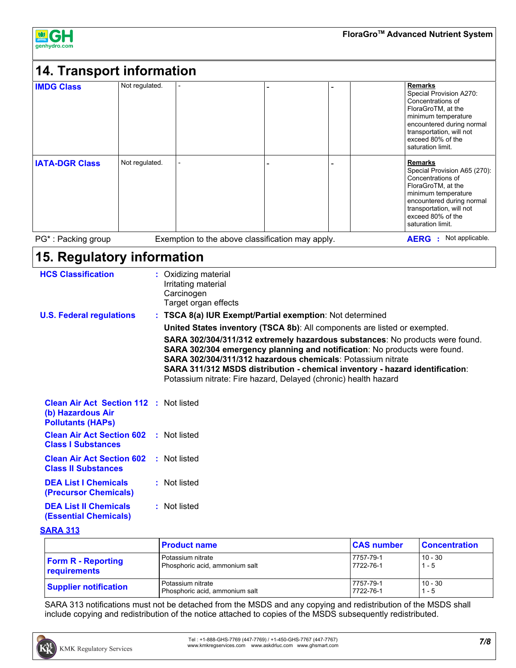

| <b>IMDG Class</b>     | Not regulated. |  | <b>Remarks</b><br>Special Provision A270:<br>Concentrations of<br>FloraGroTM, at the<br>minimum temperature<br>encountered during normal<br>transportation, will not<br>exceed 80% of the<br>saturation limit.      |
|-----------------------|----------------|--|---------------------------------------------------------------------------------------------------------------------------------------------------------------------------------------------------------------------|
| <b>IATA-DGR Class</b> | Not regulated. |  | <b>Remarks</b><br>Special Provision A65 (270):<br>Concentrations of<br>FloraGroTM, at the<br>minimum temperature<br>encountered during normal<br>transportation, will not<br>exceed 80% of the<br>saturation limit. |

# **15. Regulatory information**

| <b>HCS Classification</b>                                                                      | : Oxidizing material<br>Irritating material<br>Carcinogen<br>Target organ effects                                                                                                                                                                                                                                                                                                  |
|------------------------------------------------------------------------------------------------|------------------------------------------------------------------------------------------------------------------------------------------------------------------------------------------------------------------------------------------------------------------------------------------------------------------------------------------------------------------------------------|
| <b>U.S. Federal regulations</b>                                                                | : TSCA 8(a) IUR Exempt/Partial exemption: Not determined                                                                                                                                                                                                                                                                                                                           |
|                                                                                                | United States inventory (TSCA 8b): All components are listed or exempted.                                                                                                                                                                                                                                                                                                          |
|                                                                                                | SARA 302/304/311/312 extremely hazardous substances: No products were found.<br>SARA 302/304 emergency planning and notification: No products were found.<br><b>SARA 302/304/311/312 hazardous chemicals: Potassium nitrate</b><br>SARA 311/312 MSDS distribution - chemical inventory - hazard identification:<br>Potassium nitrate: Fire hazard, Delayed (chronic) health hazard |
| <b>Clean Air Act Section 112 : Not listed</b><br>(b) Hazardous Air<br><b>Pollutants (HAPS)</b> |                                                                                                                                                                                                                                                                                                                                                                                    |
| <b>Clean Air Act Section 602 : Not listed</b><br><b>Class I Substances</b>                     |                                                                                                                                                                                                                                                                                                                                                                                    |
| <b>Clean Air Act Section 602</b><br><b>Class II Substances</b>                                 | : Not listed                                                                                                                                                                                                                                                                                                                                                                       |
| <b>DEA List I Chemicals</b><br>(Precursor Chemicals)                                           | : Not listed                                                                                                                                                                                                                                                                                                                                                                       |
| <b>DEA List II Chemicals</b><br><b>(Essential Chemicals)</b>                                   | : Not listed                                                                                                                                                                                                                                                                                                                                                                       |

**SARA 313**

|                              | <b>Product name</b>            | <b>CAS number</b> | <b>Concentration</b> |
|------------------------------|--------------------------------|-------------------|----------------------|
| <b>Form R - Reporting</b>    | Potassium nitrate              | 7757-79-1         | $10 - 30$            |
| requirements                 | Phosphoric acid, ammonium salt | 7722-76-1         | $1 - 5$              |
| <b>Supplier notification</b> | Potassium nitrate              | 7757-79-1         | 10 - 30              |
|                              | Phosphoric acid, ammonium salt | 7722-76-1         | $1 - 5$              |

SARA 313 notifications must not be detached from the MSDS and any copying and redistribution of the MSDS shall include copying and redistribution of the notice attached to copies of the MSDS subsequently redistributed.